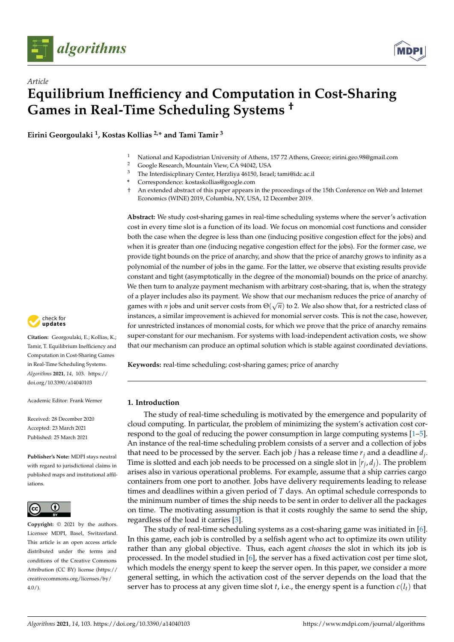



**Eirini Georgoulaki <sup>1</sup> , Kostas Kollias 2,\* and Tami Tamir <sup>3</sup>**

- <sup>1</sup> National and Kapodistrian University of Athens, 157 72 Athens, Greece; eirini.geo.98@gmail.com<sup>2</sup> Coorle Bassarsh Mountain View CA 94042, USA
- <sup>2</sup> Google Research, Mountain View, CA 94042, USA<br><sup>3</sup> The Intendicianlineary Content Heraliye 46150, James
- <sup>3</sup> The Interdisicplinary Center, Herzliya 46150, Israel; tami@idc.ac.il
- **\*** Correspondence: kostaskollias@google.com
- † An extended abstract of this paper appears in the proceedings of the 15th Conference on Web and Internet Economics (WINE) 2019, Columbia, NY, USA, 12 December 2019.

**Abstract:** We study cost-sharing games in real-time scheduling systems where the server's activation cost in every time slot is a function of its load. We focus on monomial cost functions and consider both the case when the degree is less than one (inducing positive congestion effect for the jobs) and when it is greater than one (inducing negative congestion effect for the jobs). For the former case, we provide tight bounds on the price of anarchy, and show that the price of anarchy grows to infinity as a polynomial of the number of jobs in the game. For the latter, we observe that existing results provide constant and tight (asymptotically in the degree of the monomial) bounds on the price of anarchy. We then turn to analyze payment mechanism with arbitrary cost-sharing, that is, when the strategy of a player includes also its payment. We show that our mechanism reduces the price of anarchy of games with *n* jobs and unit server costs from  $\Theta(\sqrt{n})$  to 2. We also show that, for a restricted class of instances, a similar improvement is achieved for monomial server costs. This is not the case, however, for unrestricted instances of monomial costs, for which we prove that the price of anarchy remains super-constant for our mechanism. For systems with load-independent activation costs, we show that our mechanism can produce an optimal solution which is stable against coordinated deviations.

**Keywords:** real-time scheduling; cost-sharing games; price of anarchy

# **1. Introduction**

The study of real-time scheduling is motivated by the emergence and popularity of cloud computing. In particular, the problem of minimizing the system's activation cost correspond to the goal of reducing the power consumption in large computing systems [\[1](#page-14-0)[–5\]](#page-14-1). An instance of the real-time scheduling problem consists of a server and a collection of jobs that need to be processed by the server. Each job *j* has a release time *r<sup>j</sup>* and a deadline *d<sup>j</sup>* . Time is slotted and each job needs to be processed on a single slot in  $[r_j, d_j)$ . The problem arises also in various operational problems. For example, assume that a ship carries cargo containers from one port to another. Jobs have delivery requirements leading to release times and deadlines within a given period of *T* days. An optimal schedule corresponds to the minimum number of times the ship needs to be sent in order to deliver all the packages on time. The motivating assumption is that it costs roughly the same to send the ship, regardless of the load it carries [\[3\]](#page-14-2).

The study of real-time scheduling systems as a cost-sharing game was initiated in [\[6\]](#page-14-3). In this game, each job is controlled by a selfish agent who act to optimize its own utility rather than any global objective. Thus, each agent *chooses* the slot in which its job is processed. In the model studied in [\[6\]](#page-14-3), the server has a fixed activation cost per time slot, which models the energy spent to keep the server open. In this paper, we consider a more general setting, in which the activation cost of the server depends on the load that the server has to process at any given time slot  $t$ , i.e., the energy spent is a function  $c(l_t)$  that



**Citation:** Georgoulaki, E.; Kollias, K.; Tamir, T. Equilibrium Inefficiency and Computation in Cost-Sharing Games in Real-Time Scheduling Systems. *Algorithms* **2021**, *14*, 103. [https://](https://doi.org/10.3390/a14040103) [doi.org/10.3390/a14040103](https://doi.org/10.3390/a14040103)

Academic Editor: Frank Werner

Received: 28 December 2020 Accepted: 23 March 2021 Published: 25 March 2021

**Publisher's Note:** MDPI stays neutral with regard to jurisdictional claims in published maps and institutional affiliations.



**Copyright:** © 2021 by the authors. Licensee MDPI, Basel, Switzerland. This article is an open access article distributed under the terms and conditions of the Creative Commons Attribution (CC BY) license (https:/[/](https://creativecommons.org/licenses/by/4.0/) [creativecommons.org/licenses/by/](https://creativecommons.org/licenses/by/4.0/)  $4.0/$ ).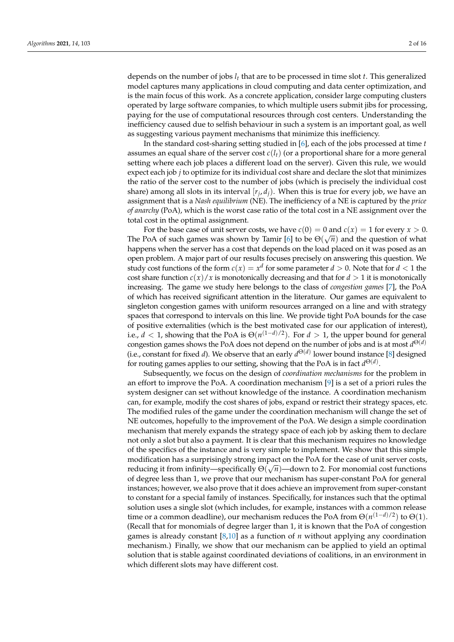depends on the number of jobs  $l_t$  that are to be processed in time slot  $t$ . This generalized model captures many applications in cloud computing and data center optimization, and is the main focus of this work. As a concrete application, consider large computing clusters operated by large software companies, to which multiple users submit jibs for processing, paying for the use of computational resources through cost centers. Understanding the inefficiency caused due to selfish behaviour in such a system is an important goal, as well as suggesting various payment mechanisms that minimize this inefficiency.

In the standard cost-sharing setting studied in [\[6\]](#page-14-3), each of the jobs processed at time *t* assumes an equal share of the server cost  $c(l_t)$  (or a proportional share for a more general setting where each job places a different load on the server). Given this rule, we would expect each job *j* to optimize for its individual cost share and declare the slot that minimizes the ratio of the server cost to the number of jobs (which is precisely the individual cost share) among all slots in its interval [*r<sup>j</sup>* , *dj*). When this is true for every job, we have an assignment that is a *Nash equilibrium* (NE). The inefficiency of a NE is captured by the *price of anarchy* (PoA), which is the worst case ratio of the total cost in a NE assignment over the total cost in the optimal assignment.

For the base case of unit server costs, we have  $c(0) = 0$  and  $c(x) = 1$  for every  $x > 0$ . The PoA of such games was shown by Tamir [\[6\]](#page-14-3) to be  $\Theta(\sqrt{n})$  and the question of what happens when the server has a cost that depends on the load placed on it was posed as an open problem. A major part of our results focuses precisely on answering this question. We study cost functions of the form  $c(x) = x^d$  for some parameter  $d > 0$ . Note that for  $d < 1$  the cost share function  $c(x)/x$  is monotonically decreasing and that for  $d > 1$  it is monotonically increasing. The game we study here belongs to the class of *congestion games* [\[7\]](#page-14-4), the PoA of which has received significant attention in the literature. Our games are equivalent to singleton congestion games with uniform resources arranged on a line and with strategy spaces that correspond to intervals on this line. We provide tight PoA bounds for the case of positive externalities (which is the best motivated case for our application of interest), i.e.,  $d < 1$ , showing that the PoA is  $\Theta(n^{(1-d)/2})$ . For  $d > 1$ , the upper bound for general congestion games shows the PoA does not depend on the number of jobs and is at most *d* Θ(*d*) (i.e., constant for fixed *d*). We observe that an early  $d^{\Theta(d)}$  lower bound instance [\[8\]](#page-14-5) designed for routing games applies to our setting, showing that the PoA is in fact *d* Θ(*d*) .

Subsequently, we focus on the design of *coordination mechanisms* for the problem in an effort to improve the PoA. A coordination mechanism [\[9\]](#page-14-6) is a set of a priori rules the system designer can set without knowledge of the instance. A coordination mechanism can, for example, modify the cost shares of jobs, expand or restrict their strategy spaces, etc. The modified rules of the game under the coordination mechanism will change the set of NE outcomes, hopefully to the improvement of the PoA. We design a simple coordination mechanism that merely expands the strategy space of each job by asking them to declare not only a slot but also a payment. It is clear that this mechanism requires no knowledge of the specifics of the instance and is very simple to implement. We show that this simple modification has a surprisingly strong impact on the PoA for the case of unit server costs, medicines is a media reducing it from infinity—specifically Θ( $\sqrt{n}$ )—down to 2. For monomial cost functions of degree less than 1, we prove that our mechanism has super-constant PoA for general instances; however, we also prove that it does achieve an improvement from super-constant to constant for a special family of instances. Specifically, for instances such that the optimal solution uses a single slot (which includes, for example, instances with a common release time or a common deadline), our mechanism reduces the PoA from  $\Theta(n^{(1-d)/2})$  to  $\Theta(1)$ . (Recall that for monomials of degree larger than 1, it is known that the PoA of congestion games is already constant [\[8,](#page-14-5)[10\]](#page-14-7) as a function of *n* without applying any coordination mechanism.) Finally, we show that our mechanism can be applied to yield an optimal solution that is stable against coordinated deviations of coalitions, in an environment in which different slots may have different cost.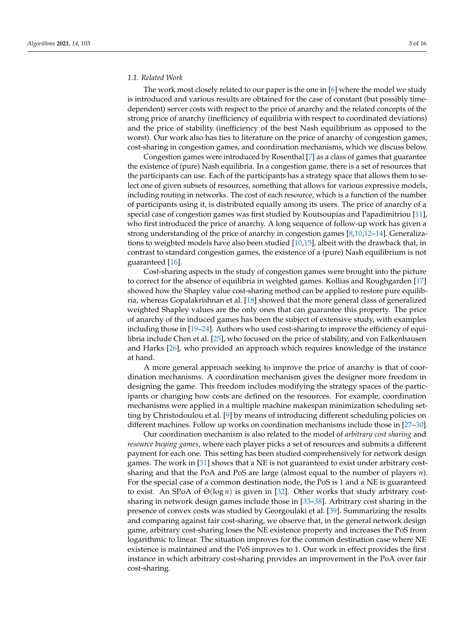#### *1.1. Related Work*

The work most closely related to our paper is the one in [\[6\]](#page-14-3) where the model we study is introduced and various results are obtained for the case of constant (but possibly timedependent) server costs with respect to the price of anarchy and the related concepts of the strong price of anarchy (inefficiency of equilibria with respect to coordinated deviations) and the price of stability (inefficiency of the best Nash equilibrium as opposed to the worst). Our work also has ties to literature on the price of anarchy of congestion games, cost-sharing in congestion games, and coordination mechanisms, which we discuss below.

Congestion games were introduced by Rosenthal [\[7\]](#page-14-4) as a class of games that guarantee the existence of (pure) Nash equilibria. In a congestion game, there is a set of resources that the participants can use. Each of the participants has a strategy space that allows them to select one of given subsets of resources, something that allows for various expressive models, including routing in networks. The cost of each resource, which is a function of the number of participants using it, is distributed equally among its users. The price of anarchy of a special case of congestion games was first studied by Koutsoupias and Papadimitriou [\[11\]](#page-14-8), who first introduced the price of anarchy. A long sequence of follow-up work has given a strong understanding of the price of anarchy in congestion games [\[8,](#page-14-5)[10,](#page-14-7)[12–](#page-14-9)[14\]](#page-14-10). Generalizations to weighted models have also been studied [\[10,](#page-14-7)[15\]](#page-14-11), albeit with the drawback that, in contrast to standard congestion games, the existence of a (pure) Nash equilibrium is not guaranteed [\[16\]](#page-15-0).

Cost-sharing aspects in the study of congestion games were brought into the picture to correct for the absence of equilibria in weighted games. Kollias and Roughgarden [\[17\]](#page-15-1) showed how the Shapley value cost-sharing method can be applied to restore pure equilibria, whereas Gopalakrishnan et al. [\[18\]](#page-15-2) showed that the more general class of generalized weighted Shapley values are the only ones that can guarantee this property. The price of anarchy of the induced games has been the subject of extensive study, with examples including those in [\[19–](#page-15-3)[24\]](#page-15-4). Authors who used cost-sharing to improve the efficiency of equilibria include Chen et al. [\[25\]](#page-15-5), who focused on the price of stability, and von Falkenhausen and Harks [\[26\]](#page-15-6), who provided an approach which requires knowledge of the instance at hand.

A more general approach seeking to improve the price of anarchy is that of coordination mechanisms. A coordination mechanism gives the designer more freedom in designing the game. This freedom includes modifying the strategy spaces of the participants or changing how costs are defined on the resources. For example, coordination mechanisms were applied in a multiple machine makespan minimization scheduling setting by Christodoulou et al. [\[9\]](#page-14-6) by means of introducing different scheduling policies on different machines. Follow up works on coordination mechanisms include those in [\[27](#page-15-7)[–30\]](#page-15-8).

Our coordination mechanism is also related to the model of *arbitrary cost sharing* and *resource buying games*, where each player picks a set of resources and submits a different payment for each one. This setting has been studied comprehensively for network design games. The work in [\[31\]](#page-15-9) shows that a NE is not guaranteed to exist under arbitrary costsharing and that the PoA and PoS are large (almost equal to the number of players *n*). For the special case of a common destination node, the PoS is 1 and a NE is guaranteed to exist. An SPoA of Θ(log *n*) is given in [\[32\]](#page-15-10). Other works that study arbitrary costsharing in network design games include those in [\[33](#page-15-11)[–38\]](#page-15-12). Arbitrary cost sharing in the presence of convex costs was studied by Georgoulaki et al. [\[39\]](#page-15-13). Summarizing the results and comparing against fair cost-sharing, we observe that, in the general network design game, arbitrary cost-sharing loses the NE existence property and increases the PoS from logarithmic to linear. The situation improves for the common destination case where NE existence is maintained and the PoS improves to 1. Our work in effect provides the first instance in which arbitrary cost-sharing provides an improvement in the PoA over fair cost-sharing.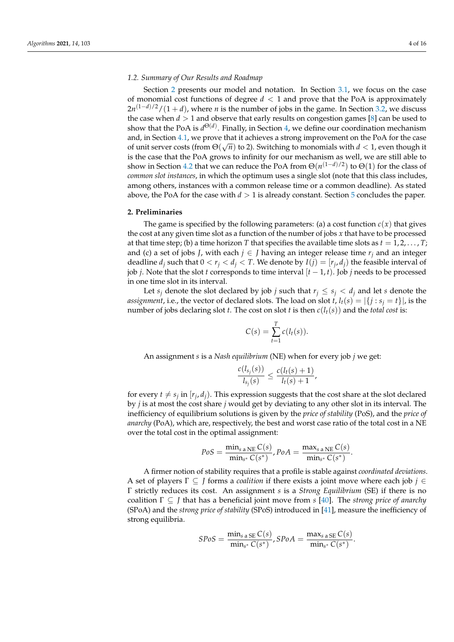## *1.2. Summary of Our Results and Roadmap*

Section [2](#page-3-0) presents our model and notation. In Section [3.1,](#page-4-0) we focus on the case of monomial cost functions of degree *d* < 1 and prove that the PoA is approximately 2*n*<sup>(1−*d*)/2</sup>/(1 + *d*), where *n* is the number of jobs in the game. In Section [3.2,](#page-5-0) we discuss the case when  $d > 1$  and observe that early results on congestion games [\[8\]](#page-14-5) can be used to show that the PoA is  $d^{\Theta(d)}$ . Finally, in Section [4,](#page-6-0) we define our coordination mechanism and, in Section [4.1,](#page-7-0) we prove that it achieves a strong improvement on the PoA for the case √ of unit server costs (from  $\Theta(\sqrt{n})$  to 2). Switching to monomials with  $d < 1$ , even though it is the case that the PoA grows to infinity for our mechanism as well, we are still able to show in Section [4.2](#page-9-0) that we can reduce the PoA from  $\Theta(n^{(1-d)/2})$  to  $\Theta(1)$  for the class of *common slot instances*, in which the optimum uses a single slot (note that this class includes, among others, instances with a common release time or a common deadline). As stated above, the PoA for the case with  $d > 1$  is already constant. Section [5](#page-14-12) concludes the paper.

## <span id="page-3-0"></span>**2. Preliminaries**

The game is specified by the following parameters: (a) a cost function  $c(x)$  that gives the cost at any given time slot as a function of the number of jobs *x* that have to be processed at that time step; (b) a time horizon *T* that specifies the available time slots as  $t = 1, 2, \ldots, T$ ; and (c) a set of jobs *J*, with each  $j \in J$  having an integer release time  $r_j$  and an integer deadline  $d_j$  such that  $0 < r_j < d_j < T$ . We denote by  $I(j) = [r_j, d_j)$  the feasible interval of job *j*. Note that the slot *t* corresponds to time interval  $[t - 1, t]$ . Job *j* needs to be processed in one time slot in its interval.

Let *s*<sup>*j*</sup> denote the slot declared by job *j* such that  $r_i \leq s_i < d_i$  and let *s* denote the *assignment*, i.e., the vector of declared slots. The load on slot *t*,  $l_t(s) = |\{j : s_j = t\}|$ , is the number of jobs declaring slot *t*. The cost on slot *t* is then *c*(*lt*(*s*)) and the *total cost* is:

$$
C(s) = \sum_{t=1}^{T} c(l_t(s)).
$$

An assignment *s* is a *Nash equilibrium* (NE) when for every job *j* we get:

$$
\frac{c(l_{s_j}(s))}{l_{s_j}(s)} \le \frac{c(l_t(s)+1)}{l_t(s)+1},
$$

for every  $t \neq s_j$  in  $[r_j, d_j)$ . This expression suggests that the cost share at the slot declared by *j* is at most the cost share *j* would get by deviating to any other slot in its interval. The inefficiency of equilibrium solutions is given by the *price of stability* (PoS), and the *price of anarchy* (PoA), which are, respectively, the best and worst case ratio of the total cost in a NE over the total cost in the optimal assignment:

$$
PoS = \frac{\min_{s \text{ a NE}} C(s)}{\min_{s^*} C(s^*)}, PoA = \frac{\max_{s \text{ a NE}} C(s)}{\min_{s^*} C(s^*)}.
$$

A firmer notion of stability requires that a profile is stable against *coordinated deviations*. A set of players Γ ⊆ *J* forms a *coalition* if there exists a joint move where each job *j* ∈ Γ strictly reduces its cost. An assignment *s* is a *Strong Equilibrium* (SE) if there is no coalition Γ ⊆ *J* that has a beneficial joint move from *s* [\[40\]](#page-15-14). The *strong price of anarchy* (SPoA) and the *strong price of stability* (SPoS) introduced in [\[41\]](#page-15-15), measure the inefficiency of strong equilibria.

$$
SPos = \frac{\min_{s \text{ a} \text{ SE}} C(s)}{\min_{s^*} C(s^*)}, SPoA = \frac{\max_{s \text{ a} \text{ SE}} C(s)}{\min_{s^*} C(s^*)}
$$

.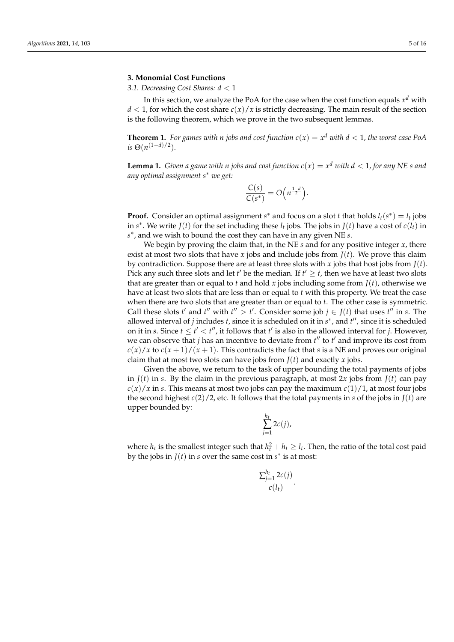### **3. Monomial Cost Functions**

<span id="page-4-0"></span>*3.1. Decreasing Cost Shares: d* < 1

In this section, we analyze the PoA for the case when the cost function equals  $x^d$  with  $d < 1$ , for which the cost share  $c(x)/x$  is strictly decreasing. The main result of the section is the following theorem, which we prove in the two subsequent lemmas.

**Theorem 1.** *For games with n jobs and cost function*  $c(x) = x^d$  *with*  $d < 1$ *, the worst case PoA*  $i$ *s*  $\Theta(n^{(1-d)/2})$ *.* 

<span id="page-4-1"></span>**Lemma 1.** *Given a game with n jobs and cost function*  $c(x) = x^d$  *with*  $d < 1$ *, for any NE s and any optimal assignment s*<sup>∗</sup> *we get:*

$$
\frac{C(s)}{C(s^*)}=O\Big(n^{\frac{1-d}{2}}\Big).
$$

**Proof.** Consider an optimal assignment *s*<sup>\*</sup> and focus on a slot *t* that holds  $l_t(s^*) = l_t$  jobs in  $s^*$ . We write  $J(t)$  for the set including these  $l_t$  jobs. The jobs in  $J(t)$  have a cost of  $c(l_t)$  in *s* ∗ , and we wish to bound the cost they can have in any given NE *s*.

We begin by proving the claim that, in the NE *s* and for any positive integer *x*, there exist at most two slots that have *x* jobs and include jobs from  $J(t)$ . We prove this claim by contradiction. Suppose there are at least three slots with *x* jobs that host jobs from  $J(t)$ . Pick any such three slots and let *t'* be the median. If  $t' \geq t$ , then we have at least two slots that are greater than or equal to *t* and hold *x* jobs including some from  $J(t)$ , otherwise we have at least two slots that are less than or equal to *t* with this property. We treat the case when there are two slots that are greater than or equal to *t*. The other case is symmetric. Call these slots *t'* and *t''* with  $t'' > t'$ . Consider some job  $j \in J(t)$  that uses  $t''$  in *s*. The allowed interval of *j* includes *t*, since it is scheduled on it in  $s^*$ , and  $t''$ , since it is scheduled on it in *s*. Since  $t \le t' < t''$ , it follows that  $t'$  is also in the allowed interval for *j*. However, we can observe that  $j$  has an incentive to deviate from  $t''$  to  $t'$  and improve its cost from  $c(x)/x$  to  $c(x+1)/(x+1)$ . This contradicts the fact that *s* is a NE and proves our original claim that at most two slots can have jobs from  $J(t)$  and exactly *x* jobs.

Given the above, we return to the task of upper bounding the total payments of jobs in  $J(t)$  in *s*. By the claim in the previous paragraph, at most 2*x* jobs from  $J(t)$  can pay  $c(x)/x$  in *s*. This means at most two jobs can pay the maximum  $c(1)/1$ , at most four jobs the second highest  $c(2)/2$ , etc. It follows that the total payments in *s* of the jobs in  $J(t)$  are upper bounded by:

$$
\sum_{j=1}^{h_t} 2c(j),
$$

where  $h_t$  is the smallest integer such that  $h_t^2 + h_t \geq l_t$ . Then, the ratio of the total cost paid by the jobs in  $J(t)$  in *s* over the same cost in  $s^*$  is at most:

$$
\frac{\sum_{j=1}^{h_t} 2c(j)}{c(l_t)}.
$$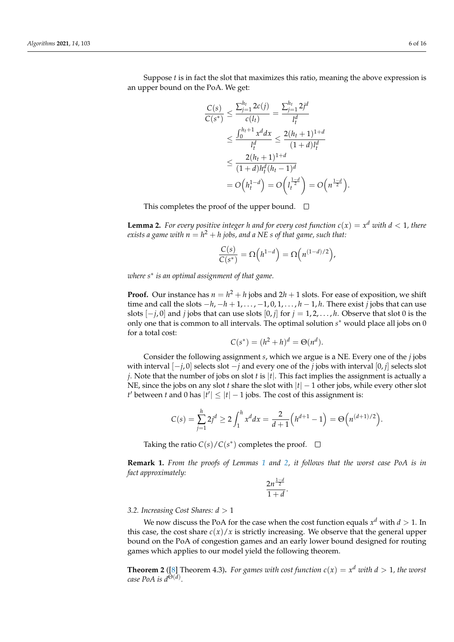Suppose *t* is in fact the slot that maximizes this ratio, meaning the above expression is an upper bound on the PoA. We get:

$$
\frac{C(s)}{C(s^*)} \le \frac{\sum_{j=1}^{h_t} 2c(j)}{c(l_t)} = \frac{\sum_{j=1}^{h_t} 2j^d}{l_t^d}
$$
\n
$$
\le \frac{\int_0^{h_t+1} x^d dx}{l_t^d} \le \frac{2(h_t+1)^{1+d}}{(1+d)l_t^d}
$$
\n
$$
\le \frac{2(h_t+1)^{1+d}}{(1+d)h_t^d(h_t-1)^d}
$$
\n
$$
= O\left(h_t^{1-d}\right) = O\left(\frac{1}{h_t^{2}}\right) = O\left(n^{\frac{1-d}{2}}\right).
$$

This completes the proof of the upper bound.  $\Box$ 

<span id="page-5-1"></span>**Lemma 2.** For every positive integer h and for every cost function  $c(x) = x^d$  with  $d < 1$ , there  $e$ xists a game with  $n=h^2+h$  jobs, and a NE s of that game, such that:

$$
\frac{C(s)}{C(s^*)} = \Omega\left(h^{1-d}\right) = \Omega\left(n^{(1-d)/2}\right),\,
$$

*where s*<sup>∗</sup> *is an optimal assignment of that game.*

**Proof.** Our instance has  $n = h^2 + h$  jobs and  $2h + 1$  slots. For ease of exposition, we shift time and call the slots  $-h$ ,  $-h+1$ , ...,  $-1$ , 0, 1, ...,  $h-1$ , *h*. There exist *j* jobs that can use slots  $[-j, 0]$  and *j* jobs that can use slots  $[0, j]$  for  $j = 1, 2, \ldots, h$ . Observe that slot 0 is the only one that is common to all intervals. The optimal solution  $s^*$  would place all jobs on 0 for a total cost:

$$
C(s^*) = (h^2 + h)^d = \Theta(n^d).
$$

Consider the following assignment *s*, which we argue is a NE. Every one of the *j* jobs with interval [−*j*, 0] selects slot −*j* and every one of the *j* jobs with interval [0, *j*] selects slot *j*. Note that the number of jobs on slot *t* is |*t*|. This fact implies the assignment is actually a NE, since the jobs on any slot *t* share the slot with |*t*| − 1 other jobs, while every other slot *t*' between *t* and 0 has  $|t'| \leq |t| - 1$  jobs. The cost of this assignment is:

$$
C(s) = \sum_{j=1}^{h} 2j^d \ge 2 \int_1^h x^d dx = \frac{2}{d+1} \left( h^{d+1} - 1 \right) = \Theta \left( n^{(d+1)/2} \right).
$$

Taking the ratio  $C(s)/C(s^*)$  completes the proof.

**Remark 1.** *From the proofs of Lemmas [1](#page-4-1) and [2,](#page-5-1) it follows that the worst case PoA is in fact approximately:*

$$
\frac{2n^{\frac{1-d}{2}}}{1+d}.
$$

<span id="page-5-0"></span>*3.2. Increasing Cost Shares: d* > 1

We now discuss the PoA for the case when the cost function equals  $x^d$  with  $d > 1$ . In this case, the cost share  $c(x)/x$  is strictly increasing. We observe that the general upper bound on the PoA of congestion games and an early lower bound designed for routing games which applies to our model yield the following theorem.

**Theorem 2** ([\[8\]](#page-14-5) Theorem 4.3). *For games with cost function*  $c(x) = x^d$  *with*  $d > 1$ *, the worst case PoA is d*Θ(*d*) *.*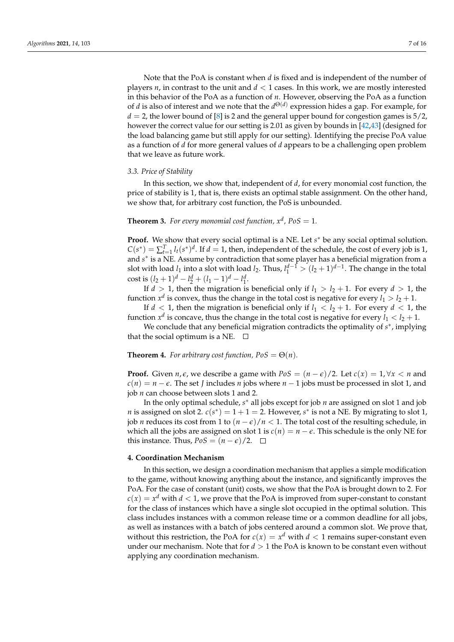Note that the PoA is constant when *d* is fixed and is independent of the number of players  $n$ , in contrast to the unit and  $d < 1$  cases. In this work, we are mostly interested in this behavior of the PoA as a function of *n*. However, observing the PoA as a function of *d* is also of interest and we note that the *d* Θ(*d*) expression hides a gap. For example, for  $d = 2$ , the lower bound of [\[8\]](#page-14-5) is 2 and the general upper bound for congestion games is  $5/2$ , however the correct value for our setting is 2.01 as given by bounds in [\[42](#page-15-16)[,43\]](#page-15-17) (designed for the load balancing game but still apply for our setting). Identifying the precise PoA value as a function of *d* for more general values of *d* appears to be a challenging open problem that we leave as future work.

## *3.3. Price of Stability*

In this section, we show that, independent of *d*, for every monomial cost function, the price of stability is 1, that is, there exists an optimal stable assignment. On the other hand, we show that, for arbitrary cost function, the PoS is unbounded.

**Theorem 3.** For every monomial cost function,  $x^d$ ,  $PoS = 1$ .

Proof. We show that every social optimal is a NE. Let  $s^*$  be any social optimal solution.  $C(s^*) = \sum_{t=1}^T l_t(s^*)^d$ . If  $d = 1$ , then, independent of the schedule, the cost of every job is 1, and *s* ∗ is a NE. Assume by contradiction that some player has a beneficial migration from a slot with load  $l_1$  into a slot with load  $l_2$ . Thus,  $l_1^{d-1} > (l_2 + 1)^{d-1}$ . The change in the total cost is  $(l_2 + 1)^d - l_2^d + (l_1 - 1)^d - l_1^d$ .

If  $d > 1$ , then the migration is beneficial only if  $l_1 > l_2 + 1$ . For every  $d > 1$ , the function  $x^d$  is convex, thus the change in the total cost is negative for every  $l_1 > l_2 + 1$ .

If  $d < 1$ , then the migration is beneficial only if  $l_1 < l_2 + 1$ . For every  $d < 1$ , the function  $x^d$  is concave, thus the change in the total cost is negative for every  $l_1 < l_2 + 1$ .

We conclude that any beneficial migration contradicts the optimality of  $s^*$ , implying that the social optimum is a NE.  $\Box$ 

#### **Theorem 4.** *For arbitrary cost function, PoS* =  $\Theta(n)$ *.*

**Proof.** Given *n*,  $\epsilon$ , we describe a game with  $PoS = (n - \epsilon)/2$ . Let  $c(x) = 1, \forall x < n$  and  $c(n) = n - \epsilon$ . The set *J* includes *n* jobs where  $n - 1$  jobs must be processed in slot 1, and job *n* can choose between slots 1 and 2.

In the only optimal schedule, *s* <sup>∗</sup> all jobs except for job *n* are assigned on slot 1 and job *n* is assigned on slot 2.  $c(s^*) = 1 + 1 = 2$ . However, *s*<sup>\*</sup> is not a NE. By migrating to slot 1, job *n* reduces its cost from 1 to  $(n - \epsilon)/n < 1$ . The total cost of the resulting schedule, in which all the jobs are assigned on slot 1 is  $c(n) = n - \epsilon$ . This schedule is the only NE for this instance. Thus,  $PoS = (n - \epsilon)/2$ . □

### <span id="page-6-0"></span>**4. Coordination Mechanism**

In this section, we design a coordination mechanism that applies a simple modification to the game, without knowing anything about the instance, and significantly improves the PoA. For the case of constant (unit) costs, we show that the PoA is brought down to 2. For  $c(x) = x^d$  with  $d < 1$ , we prove that the PoA is improved from super-constant to constant for the class of instances which have a single slot occupied in the optimal solution. This class includes instances with a common release time or a common deadline for all jobs, as well as instances with a batch of jobs centered around a common slot. We prove that, without this restriction, the PoA for  $c(x) = x^d$  with  $d < 1$  remains super-constant even under our mechanism. Note that for  $d > 1$  the PoA is known to be constant even without applying any coordination mechanism.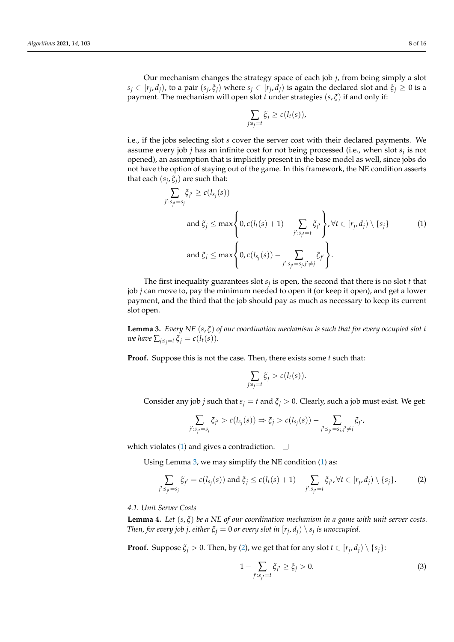Our mechanism changes the strategy space of each job *j*, from being simply a slot  $s_j\in[r_j,d_j)$ , to a pair  $(s_j,\xi_j)$  where  $s_j\in[r_j,d_j)$  is again the declared slot and  $\xi_j\geq 0$  is a payment. The mechanism will open slot *t* under strategies (*s*, *ξ*) if and only if:

<span id="page-7-1"></span>
$$
\sum_{j:s_j=t}\xi_j\geq c(l_t(s)),
$$

i.e., if the jobs selecting slot *s* cover the server cost with their declared payments. We assume every job *j* has an infinite cost for not being processed (i.e., when slot *s<sup>j</sup>* is not opened), an assumption that is implicitly present in the base model as well, since jobs do not have the option of staying out of the game. In this framework, the NE condition asserts that each (*s<sup>j</sup>* , *ξj*) are such that:

$$
\sum_{j':s_{j'}=s_j} \zeta_{j'} \ge c(l_{s_j}(s))
$$
\n
$$
\text{and } \zeta_j \le \max\left\{0, c(l_t(s)+1) - \sum_{j':s_{j'}=t} \zeta_{j'}\right\}, \forall t \in [r_j, d_j) \setminus \{s_j\} \tag{1}
$$
\n
$$
\text{and } \zeta_j \le \max\left\{0, c(l_{s_j}(s)) - \sum_{j':s_{j'}=s_j, j'\ne j} \zeta_{j'}\right\}.
$$

The first inequality guarantees slot *s<sup>j</sup>* is open, the second that there is no slot *t* that job *j* can move to, pay the minimum needed to open it (or keep it open), and get a lower payment, and the third that the job should pay as much as necessary to keep its current slot open.

<span id="page-7-2"></span>**Lemma 3.** *Every NE* (*s*, *ξ*) *of our coordination mechanism is such that for every occupied slot t we have*  $\sum_{j:s_j=t}\xi_j=c(l_t(s)).$ 

**Proof.** Suppose this is not the case. Then, there exists some *t* such that:

$$
\sum_{j:s_j=t}\xi_j>c(l_t(s)).
$$

Consider any job *j* such that  $s_j = t$  and  $\xi_j > 0$ . Clearly, such a job must exist. We get:

$$
\sum_{j':s_{j'}=s_j} \zeta_{j'} > c(l_{s_j}(s)) \Rightarrow \zeta_j > c(l_{s_j}(s)) - \sum_{j':s_{j'}=s_j,j'\neq j} \zeta_{j'}
$$

which violates [\(1\)](#page-7-1) and gives a contradiction.  $\Box$ 

Using Lemma [3,](#page-7-2) we may simplify the NE condition [\(1\)](#page-7-1) as:

<span id="page-7-3"></span>
$$
\sum_{j':s_{j'}=s_j} \xi_{j'} = c(l_{s_j}(s)) \text{ and } \xi_j \le c(l_t(s)+1) - \sum_{j':s_{j'}=t} \xi_{j'}, \forall t \in [r_j, d_j) \setminus \{s_j\}. \tag{2}
$$

#### <span id="page-7-0"></span>*4.1. Unit Server Costs*

<span id="page-7-5"></span>**Lemma 4.** *Let* (*s*, *ξ*) *be a NE of our coordination mechanism in a game with unit server costs. Then, for every job j, either*  $\xi_j = 0$  *or every slot in*  $[r_j, d_j) \setminus s_j$  *is unoccupied.* 

**Proof.** Suppose  $\xi_j > 0$ . Then, by [\(2\)](#page-7-3), we get that for any slot  $t \in [r_j, d_j) \setminus \{s_j\}$ :

<span id="page-7-4"></span>
$$
1 - \sum_{j':s_{j'}=t} \xi_{j'} \ge \xi_j > 0.
$$
 (3)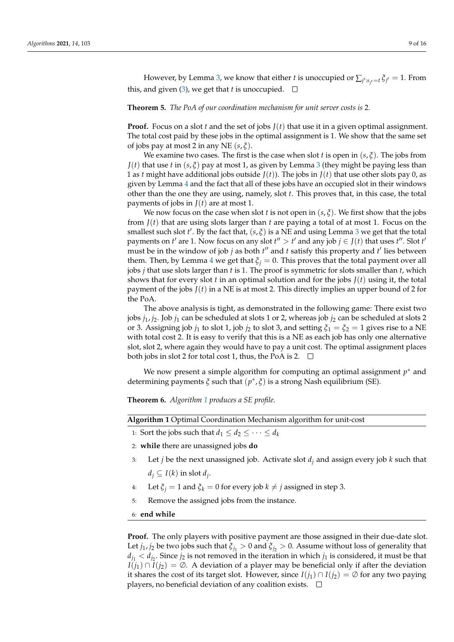However, by Lemma [3,](#page-7-2) we know that either  $t$  is unoccupied or  $\sum_{j':s_{j'}=t}\xi_{j'}=1.$  From this, and given [\(3\)](#page-7-4), we get that *t* is unoccupied.  $\square$ 

<span id="page-8-1"></span>**Theorem 5.** *The PoA of our coordination mechanism for unit server costs is* 2*.*

**Proof.** Focus on a slot *t* and the set of jobs  $J(t)$  that use it in a given optimal assignment. The total cost paid by these jobs in the optimal assignment is 1. We show that the same set of jobs pay at most 2 in any NE (*s*, *ξ*).

We examine two cases. The first is the case when slot *t* is open in  $(s, \xi)$ . The jobs from *J*(*t*) that use *t* in (*s*,  $\xi$ ) pay at most 1, as given by Lemma [3](#page-7-2) (they might be paying less than 1 as *t* might have additional jobs outside  $J(t)$ ). The jobs in  $J(t)$  that use other slots pay 0, as given by Lemma [4](#page-7-5) and the fact that all of these jobs have an occupied slot in their windows other than the one they are using, namely, slot *t*. This proves that, in this case, the total payments of jobs in  $J(t)$  are at most 1.

We now focus on the case when slot *t* is not open in  $(s, \xi)$ . We first show that the jobs from  $J(t)$  that are using slots larger than  $t$  are paying a total of at most 1. Focus on the smallest such slot  $t'$ . By the fact that,  $(s, \xi)$  is a NE and using Lemma [3](#page-7-2) we get that the total payments on *t'* are 1. Now focus on any slot  $t'' > t'$  and any job  $j \in J(t)$  that uses  $t''$ . Slot  $t'$ must be in the window of job  $j$  as both  $t''$  and  $t$  satisfy this property and  $t'$  lies between them. Then, by Lemma [4](#page-7-5) we get that  $\xi_j = 0$ . This proves that the total payment over all jobs *j* that use slots larger than *t* is 1. The proof is symmetric for slots smaller than *t*, which shows that for every slot *t* in an optimal solution and for the jobs  $J(t)$  using it, the total payment of the jobs  $J(t)$  in a NE is at most 2. This directly implies an upper bound of 2 for the PoA.

The above analysis is tight, as demonstrated in the following game: There exist two jobs *j*1, *j*2. Job *j*<sup>1</sup> can be scheduled at slots 1 or 2, whereas job *j*<sup>2</sup> can be scheduled at slots 2 or 3. Assigning job  $j_1$  to slot 1, job  $j_2$  to slot 3, and setting  $\xi_1 = \xi_2 = 1$  gives rise to a NE with total cost 2. It is easy to verify that this is a NE as each job has only one alternative slot, slot 2, where again they would have to pay a unit cost. The optimal assignment places both jobs in slot 2 for total cost 1, thus, the PoA is 2.  $\Box$ 

We now present a simple algorithm for computing an optimal assignment *p* <sup>∗</sup> and determining payments *ξ* such that (*p* ∗ , *ξ*) is a strong Nash equilibrium (SE).

**Theorem 6.** *Algorithm [1](#page-8-0) produces a SE profile.*

<span id="page-8-0"></span>

| Algorithm 1 Optimal Coordination Mechanism algorithm for unit-cost |  |  |  |
|--------------------------------------------------------------------|--|--|--|
|                                                                    |  |  |  |

- 1: Sort the jobs such that  $d_1 \leq d_2 \leq \cdots \leq d_k$
- 2: **while** there are unassigned jobs **do**
- 3: Let *j* be the next unassigned job. Activate slot *d<sup>j</sup>* and assign every job *k* such that  $d_j$  ⊆ *I*(*k*) in slot *d*<sup>*j*</sup>.
- 4: Let  $\xi$ <sup>*j*</sup> = 1 and  $\xi$ <sup>*k*</sup> = 0 for every job  $k \neq j$  assigned in step 3.
- 5: Remove the assigned jobs from the instance.

6: **end while**

**Proof.** The only players with positive payment are those assigned in their due-date slot. Let  $j_1$ ,  $j_2$  be two jobs such that  $\xi_{j_1} > 0$  and  $\xi_{j_2} > 0$ . Assume without loss of generality that  $d_{j_1} < d_{j_2}$ . Since  $j_2$  is not removed in the iteration in which  $j_1$  is considered, it must be that  $I(j_1) \cap I(j_2) = \emptyset$ . A deviation of a player may be beneficial only if after the deviation it shares the cost of its target slot. However, since  $I(i_1) \cap I(i_2) = \emptyset$  for any two paying players, no beneficial deviation of any coalition exists.  $\Box$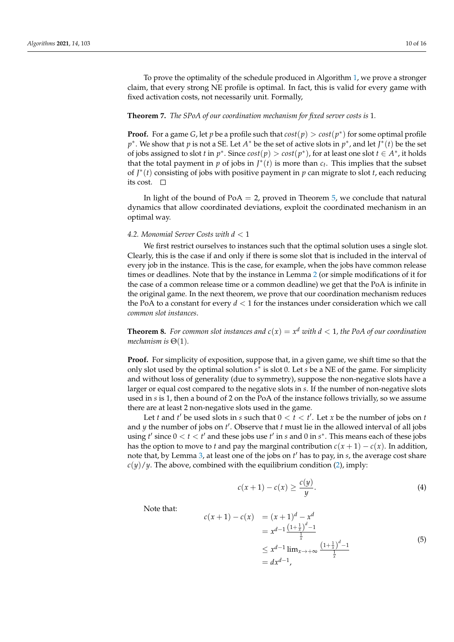To prove the optimality of the schedule produced in Algorithm [1,](#page-8-0) we prove a stronger claim, that every strong NE profile is optimal. In fact, this is valid for every game with fixed activation costs, not necessarily unit. Formally,

#### <span id="page-9-3"></span>**Theorem 7.** *The SPoA of our coordination mechanism for fixed server costs is* 1*.*

**Proof.** For a game *G*, let *p* be a profile such that  $cost(p) > cost(p^*)$  for some optimal profile *p*<sup>∗</sup>. We show that *p* is not a SE. Let *A*<sup>∗</sup> be the set of active slots in *p*<sup>∗</sup>, and let *J*<sup>∗</sup>(*t*) be the set of jobs assigned to slot *t* in  $p^*$ . Since  $cost(p) > cost(p^*)$ , for at least one slot  $t \in A^*$ , it holds that the total payment in  $p$  of jobs in  $J^*(t)$  is more than  $c_t$ . This implies that the subset of  $J^*(t)$  consisting of jobs with positive payment in  $p$  can migrate to slot  $t$ , each reducing its cost.  $\Box$ 

In light of the bound of  $PoA = 2$ , proved in Theorem [5,](#page-8-1) we conclude that natural dynamics that allow coordinated deviations, exploit the coordinated mechanism in an optimal way.

#### <span id="page-9-0"></span>*4.2. Monomial Server Costs with d* < 1

We first restrict ourselves to instances such that the optimal solution uses a single slot. Clearly, this is the case if and only if there is some slot that is included in the interval of every job in the instance. This is the case, for example, when the jobs have common release times or deadlines. Note that by the instance in Lemma [2](#page-5-1) (or simple modifications of it for the case of a common release time or a common deadline) we get that the PoA is infinite in the original game. In the next theorem, we prove that our coordination mechanism reduces the PoA to a constant for every *d* < 1 for the instances under consideration which we call *common slot instances*.

**Theorem 8.** For common slot instances and  $c(x) = x^d$  with  $d < 1$ , the PoA of our coordination *mechanism is* Θ(1)*.*

**Proof.** For simplicity of exposition, suppose that, in a given game, we shift time so that the only slot used by the optimal solution *s* ∗ is slot 0. Let *s* be a NE of the game. For simplicity and without loss of generality (due to symmetry), suppose the non-negative slots have a larger or equal cost compared to the negative slots in *s*. If the number of non-negative slots used in *s* is 1, then a bound of 2 on the PoA of the instance follows trivially, so we assume there are at least 2 non-negative slots used in the game.

Let *t* and *t'* be used slots in *s* such that  $0 < t < t'$ . Let *x* be the number of jobs on *t* and *y* the number of jobs on *t'*. Observe that *t* must lie in the allowed interval of all jobs using  $t'$  since  $0 < t < t'$  and these jobs use  $t'$  in *s* and 0 in  $s^*$ . This means each of these jobs has the option to move to *t* and pay the marginal contribution  $c(x + 1) - c(x)$ . In addition, note that, by Lemma [3,](#page-7-2) at least one of the jobs on  $t'$  has to pay, in *s*, the average cost share  $c(y)/y$ . The above, combined with the equilibrium condition [\(2\)](#page-7-3), imply:

<span id="page-9-1"></span>
$$
c(x+1) - c(x) \ge \frac{c(y)}{y}.\tag{4}
$$

Note that:

<span id="page-9-2"></span>
$$
c(x + 1) - c(x) = (x + 1)d - xd
$$
  
=  $x^{d-1} \frac{(1 + \frac{1}{x})^d - 1}{\frac{1}{x}}$   
 $\leq x^{d-1} \lim_{x \to +\infty} \frac{(1 + \frac{1}{x})^d - 1}{\frac{1}{x}}$   
=  $dx^{d-1}$ , (5)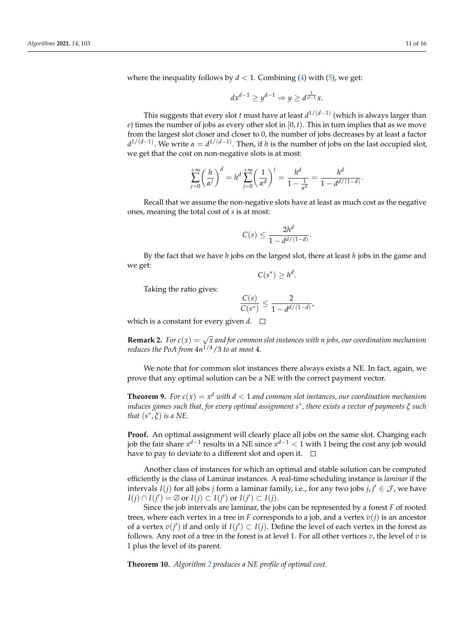where the inequality follows by  $d < 1$ . Combining [\(4\)](#page-9-1) with [\(5\)](#page-9-2), we get:

$$
dx^{d-1} \ge y^{d-1} \Rightarrow y \ge d^{\frac{1}{d-1}}x.
$$

This suggests that every slot *t* must have at least *d* 1/(*d*−1) (which is always larger than *e*) times the number of jobs as every other slot in  $[0, t)$ . This in turn implies that as we move from the largest slot closer and closer to 0, the number of jobs decreases by at least a factor *d*<sup>1/(*d*−1)</sup>. We write *α* = *d*<sup>1/(*d*−1)</sup>. Then, if *h* is the number of jobs on the last occupied slot, we get that the cost on non-negative slots is at most:

$$
\sum_{j=0}^{+\infty} \left(\frac{h}{\alpha^j}\right)^d = h^d \sum_{j=0}^{+\infty} \left(\frac{1}{\alpha^d}\right)^j = \frac{h^d}{1 - \frac{1}{\alpha^d}} = \frac{h^d}{1 - \frac{d^{d/(1-d)}}{1 - \frac{d^{d/(1-d)}}{1 - \frac{d^{d/(1-d)}}{1 - \frac{d^{d/(1-d)}}{1 - \frac{d^{d/(1-d)}}{1 - \frac{d^{d/(1-d)}}{1 - \frac{d^{d/(1-d)}}{1 - \frac{d^{d/(1-d)}}{1 - \frac{d^{d/(1-d)}}{1 - \frac{d^{d/(1-d)}}{1 - \frac{d^{d/(1-d)}}{1 - \frac{d^{d/(1-d)}}{1 - \frac{d^{d/(1-d)}}{1 - \frac{d^{d/(1-d)}}{1 - \frac{d^{d/(1-d)}}{1 - \frac{d^{d/(1-d)}}{1 - \frac{d^{d/(1-d)}}{1 - \frac{d^{d/(1-d)}}{1 - \frac{d^{d/(1-d)}}{1 - \frac{d^{d/(1-d)}}{1 - \frac{d^{d/(1-d)}}{1 - \frac{d^{d/(1-d)}}{1 - \frac{d^{d/(1-d)}}{1 - \frac{d^{d/(1-d)}}{1 - \frac{d^{d/(1-d)}}{1 - \frac{d^{d/(1-d)}}{1 - \frac{d^{d/(1-d)}}{1 - \frac{d^{d/(1-d)}}{1 - \frac{d^{d/(1-d)}}{1 - \frac{d^{d/(1-d)}}{1 - \frac{d^{d/(1-d)}}{1 - \frac{d^{d/(1-d)}}{1 - \frac{d^{d/(1-d)}}{1 - \frac{d^{d/(1-d)}}{1 - \frac{d^{d/(1-d)}}{1 - \frac{d^{d/(1-d)}}{1 - \frac{d^{d/(1-d)}}{1 - \frac{d^{d/(1-d)}}{1 - \frac{d^{d/(1-d)}}{1 - \frac{d^{d/(1-d)}}{1 - \frac{d^{d/(1-d)}}{1 - \frac{d^{d/(1-d)}}{1 - \frac{d^{d/(1-d)}}{1 - \frac{d^{d/(1-d)}}{1 - \frac{d^{d/(1-d)}}{1 - \frac{d^{d/(1-d)}}{1 - \frac{d^{d/(1-d)}}{1 - \frac{d^{d/(1-d)}}{1 - \frac{d^{d/(1-d)}}{1 - \frac{d^{d/(1-d)}}{1 - \frac{d^{d/(1-d)}}{1 - \frac{d^{d/(1-d
$$

Recall that we assume the non-negative slots have at least as much cost as the negative ones, meaning the total cost of *s* is at most:

$$
C(s) \le \frac{2h^d}{1 - d^{d/(1-d)}}
$$

.

By the fact that we have *h* jobs on the largest slot, there at least *h* jobs in the game and we get:

$$
C(s^*) \geq h^d.
$$

Taking the ratio gives:

$$
\frac{C(s)}{C(s^*)} \leq \frac{2}{1-d^{d/(1-d)}},
$$

which is a constant for every given  $d.$   $\Box$ 

**Remark 2.** *For*  $c(x) = \sqrt{x}$  *and for common slot instances with n jobs, our coordination mechanism reduces the PoA from* 4*n* 1/4/3 *to at most* 4*.*

We note that for common slot instances there always exists a NE. In fact, again, we prove that any optimal solution can be a NE with the correct payment vector.

**Theorem 9.** *For*  $c(x) = x^d$  *with*  $d < 1$  *and common slot instances, our coordination mechanism induces games such that, for every optimal assignment s* ∗ *, there exists a vector of payments ξ such that*  $(s^*, \xi)$  *is a NE*.

**Proof.** An optimal assignment will clearly place all jobs on the same slot. Charging each job the fair share  $x^{d-1}$  results in a NE since  $x^{d-1} < 1$  with 1 being the cost any job would have to pay to deviate to a different slot and open it.  $\square$ 

Another class of instances for which an optimal and stable solution can be computed efficiently is the class of Laminar instances. A real-time scheduling instance is *laminar* if the intervals  $I(j)$  for all jobs *j* form a laminar family, i.e., for any two jobs  $j, j' \in \mathcal{J}$ , we have  $I(j) \cap I(j') = \emptyset$  or  $I(j) \subset I(j')$  or  $I(j') \subset I(j)$ .

Since the job intervals are laminar, the jobs can be represented by a forest *F* of rooted trees, where each vertex in a tree in *F* corresponds to a job, and a vertex  $v(j)$  is an ancestor of a vertex  $v(j')$  if and only if  $I(j') \subset I(j)$ . Define the level of each vertex in the forest as follows. Any root of a tree in the forest is at level 1. For all other vertices *v*, the level of *v* is 1 plus the level of its parent.

**Theorem 10.** *Algorithm [2](#page-11-0) produces a NE profile of optimal cost.*

.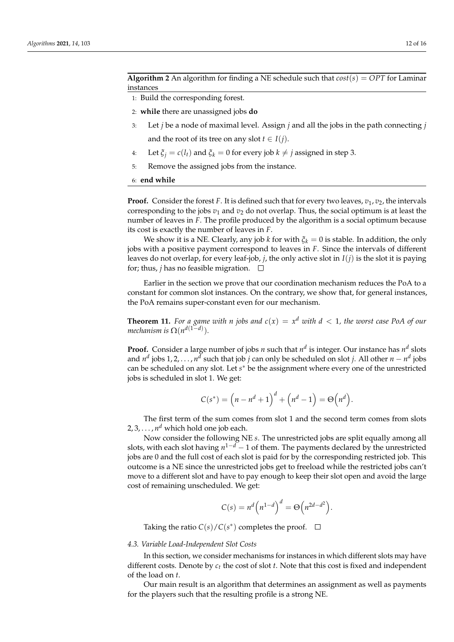<span id="page-11-0"></span>**Algorithm 2** An algorithm for finding a NE schedule such that  $cost(s) = OPT$  for Laminar instances

- 1: Build the corresponding forest.
- 2: **while** there are unassigned jobs **do**
- 3: Let *j* be a node of maximal level. Assign *j* and all the jobs in the path connecting *j* and the root of its tree on any slot  $t \in I(j)$ .
- 4: Let  $\xi_i = c(l_i)$  and  $\xi_k = 0$  for every job  $k \neq j$  assigned in step 3.
- 5: Remove the assigned jobs from the instance.

#### 6: **end while**

**Proof.** Consider the forest *F*. It is defined such that for every two leaves,  $v_1$ ,  $v_2$ , the intervals corresponding to the jobs  $v_1$  and  $v_2$  do not overlap. Thus, the social optimum is at least the number of leaves in *F*. The profile produced by the algorithm is a social optimum because its cost is exactly the number of leaves in *F*.

We show it is a NE. Clearly, any job *k* for with  $\zeta_k = 0$  is stable. In addition, the only jobs with a positive payment correspond to leaves in *F*. Since the intervals of different leaves do not overlap, for every leaf-job, *j*, the only active slot in  $I(i)$  is the slot it is paying for; thus, *j* has no feasible migration.  $\Box$ 

Earlier in the section we prove that our coordination mechanism reduces the PoA to a constant for common slot instances. On the contrary, we show that, for general instances, the PoA remains super-constant even for our mechanism.

<span id="page-11-1"></span>**Theorem 11.** For a game with *n* jobs and  $c(x) = x^d$  with  $d < 1$ , the worst case PoA of our *mechanism is*  $\Omega(n^{d(1-d)})$ .

**Proof.** Consider a large number of jobs *n* such that  $n^d$  is integer. Our instance has  $n^d$  slots and  $n^d$  jobs 1,2,..., $n^d$  such that job *j* can only be scheduled on slot *j*. All other  $n - n^d$  jobs can be scheduled on any slot. Let *s* <sup>∗</sup> be the assignment where every one of the unrestricted jobs is scheduled in slot 1. We get:

$$
C(s^*) = \left(n - n^d + 1\right)^d + \left(n^d - 1\right) = \Theta\left(n^d\right).
$$

The first term of the sum comes from slot 1 and the second term comes from slots 2, 3, . . . , *n <sup>d</sup>* which hold one job each.

Now consider the following NE *s*. The unrestricted jobs are split equally among all slots, with each slot having *n* <sup>1</sup>−*<sup>d</sup>* − 1 of them. The payments declared by the unrestricted jobs are 0 and the full cost of each slot is paid for by the corresponding restricted job. This outcome is a NE since the unrestricted jobs get to freeload while the restricted jobs can't move to a different slot and have to pay enough to keep their slot open and avoid the large cost of remaining unscheduled. We get:

$$
C(s) = n^d \left( n^{1-d} \right)^d = \Theta \left( n^{2d-d^2} \right).
$$

Taking the ratio  $C(s)/C(s^*)$  completes the proof.

#### *4.3. Variable Load-Independent Slot Costs*

In this section, we consider mechanisms for instances in which different slots may have different costs. Denote by *c<sup>t</sup>* the cost of slot *t*. Note that this cost is fixed and independent of the load on *t*.

Our main result is an algorithm that determines an assignment as well as payments for the players such that the resulting profile is a strong NE.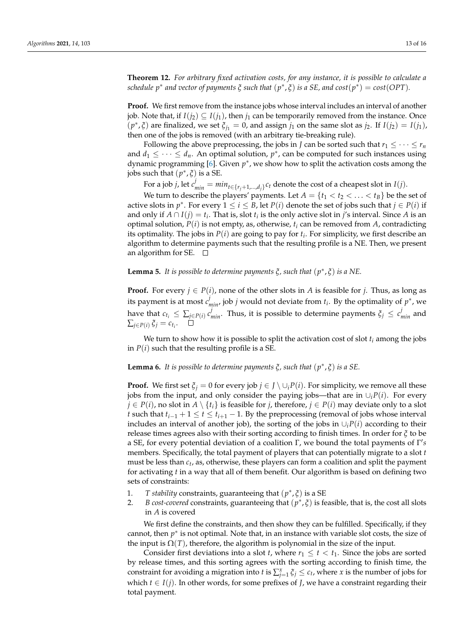**Theorem 12.** *For arbitrary fixed activation costs, for any instance, it is possible to calculate a*  $s$ chedule  $p^*$  and vector of payments  $\xi$  such that  $(p^*,\xi)$  is a SE, and  $cost(p^*) = cost(OPT)$ .

**Proof.** We first remove from the instance jobs whose interval includes an interval of another job. Note that, if  $I(i_2) \subseteq I(i_1)$ , then  $j_1$  can be temporarily removed from the instance. Once  $(p^*, \xi)$  are finalized, we set  $\xi_{j_1} = 0$ , and assign  $j_1$  on the same slot as  $j_2$ . If  $I(j_2) = I(j_1)$ , then one of the jobs is removed (with an arbitrary tie-breaking rule).

Following the above preprocessing, the jobs in *J* can be sorted such that  $r_1 \leq \cdots \leq r_n$ and  $d_1 \leq \cdots \leq d_n$ . An optimal solution,  $p^*$ , can be computed for such instances using dynamic programming [\[6\]](#page-14-3). Given  $p^*$ , we show how to split the activation costs among the jobs such that  $(p^*, \xi)$  is a SE.

For a job *j*, let  $c^j_{min} = min_{t \in \{r_j+1,\dots,d_j\}} c_t$  denote the cost of a cheapest slot in *I*(*j*).

We turn to describe the players' payments. Let  $A = \{t_1 < t_2 < \ldots < t_B\}$  be the set of active slots in  $p^*$ . For every  $1 \le i \le B$ , let  $P(i)$  denote the set of jobs such that  $j \in P(i)$  if and only if  $A \cap I(j) = t_i$ . That is, slot  $t_i$  is the only active slot in *j's* interval. Since A is an optimal solution,  $P(i)$  is not empty, as, otherwise,  $t_i$  can be removed from  $A$ , contradicting its optimality. The jobs in *P*(*i*) are going to pay for *t<sup>i</sup>* . For simplicity, we first describe an algorithm to determine payments such that the resulting profile is a NE. Then, we present an algorithm for SE.  $\Box$ 

# **Lemma 5.** *It is possible to determine payments ξ, such that* (*p* ∗ , *ξ*) *is a NE.*

**Proof.** For every  $j \in P(i)$ , none of the other slots in *A* is feasible for *j*. Thus, as long as its payment is at most  $c^j_{min}$ , job *j* would not deviate from  $t_i$ . By the optimality of  $p^*$ , we have that  $c_{t_i} \leq \sum_{j \in P(i)} c^j_{min}$ . Thus, it is possible to determine payments  $\xi_j \leq c^j_{min}$  and  $\sum_{j \in P(i)} \xi_j = c_{t_i}.$ 

We turn to show how it is possible to split the activation cost of slot  $t_i$  among the jobs in  $P(i)$  such that the resulting profile is a SE.

# **Lemma 6.** *It is possible to determine payments ξ, such that* (*p* ∗ , *ξ*) *is a SE.*

**Proof.** We first set  $\xi$ <sup>*j*</sup> = 0 for every job *j* ∈ *J* \ ∪*<sub>i</sub>P*(*i*). For simplicity, we remove all these jobs from the input, and only consider the paying jobs—that are in  $\cup_i P(i)$ . For every *j* ∈ *P*(*i*), no slot in *A*  $\setminus$  {*t*<sub>*i*</sub>} is feasible for *j*, therefore, *j* ∈ *P*(*i*) may deviate only to a slot *t* such that  $t_{i-1} + 1 \le t \le t_{i+1} - 1$ . By the preprocessing (removal of jobs whose interval includes an interval of another job), the sorting of the jobs in  $\bigcup_i P(i)$  according to their release times agrees also with their sorting according to finish times. In order for *ξ* to be a SE, for every potential deviation of a coalition Γ, we bound the total payments of Γ's members. Specifically, the total payment of players that can potentially migrate to a slot *t* must be less than *c<sup>t</sup>* , as, otherwise, these players can form a coalition and split the payment for activating *t* in a way that all of them benefit. Our algorithm is based on defining two sets of constraints:

- 1. *T stability* constraints, guaranteeing that (*p* ∗ , *ξ*) is a SE
- 2. *B cost-covered* constraints, guaranteeing that  $(p^*, \xi)$  is feasible, that is, the cost all slots in *A* is covered

We first define the constraints, and then show they can be fulfilled. Specifically, if they cannot, then  $p^*$  is not optimal. Note that, in an instance with variable slot costs, the size of the input is  $\Omega(T)$ , therefore, the algorithm is polynomial in the size of the input.

Consider first deviations into a slot *t*, where  $r_1 \leq t \leq t_1$ . Since the jobs are sorted by release times, and this sorting agrees with the sorting according to finish time, the constraint for avoiding a migration into *t* is  $\sum_{j=1}^{x} \xi_j \leq c_t$ , where *x* is the number of jobs for which  $t \in I(j)$ . In other words, for some prefixes of *J*, we have a constraint regarding their total payment.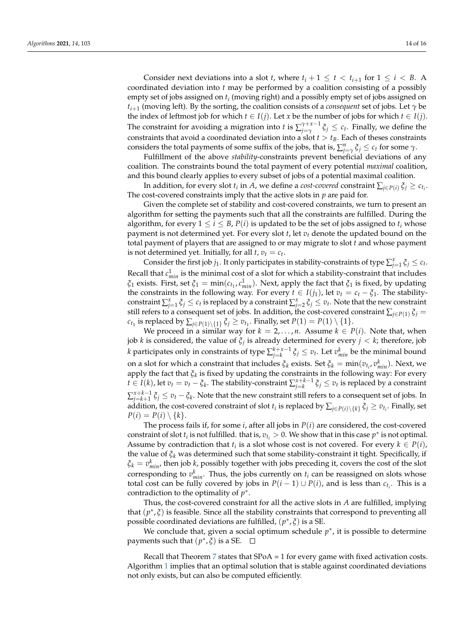Consider next deviations into a slot *t*, where  $t_i + 1 \leq t < t_{i+1}$  for  $1 \leq i < B$ . A coordinated deviation into *t* may be performed by a coalition consisting of a possibly empty set of jobs assigned on *t<sup>i</sup>* (moving right) and a possibly empty set of jobs assigned on *ti*+<sup>1</sup> (moving left). By the sorting, the coalition consists of a *consequent* set of jobs. Let *γ* be the index of leftmost job for which  $t \in I(j)$ . Let  $x$  be the number of jobs for which  $t \in I(j)$ . The constraint for avoiding a migration into *t* is  $\sum_{i=\infty}^{\gamma+x-1}$  $\int_{j=\gamma}^{\gamma+x-1} \zeta_j \leq c_t$ . Finally, we define the constraints that avoid a coordinated deviation into a slot  $t > t_B$ . Each of theses constraints considers the total payments of some suffix of the jobs, that is,  $\sum_{j=\gamma}^{n} \xi_j \leq c_t$  for some  $\gamma$ .

Fulfillment of the above *stability*-constraints prevent beneficial deviations of any coalition. The constraints bound the total payment of every potential *maximal* coalition, and this bound clearly applies to every subset of jobs of a potential maximal coalition.

In addition, for every slot  $t_i$  in *A*, we define a *cost-covered* constraint  $\sum_{j\in P(i)} \xi_j \geq c_{t_i}$ . The cost-covered constraints imply that the active slots in *p* are paid for.

Given the complete set of stability and cost-covered constraints, we turn to present an algorithm for setting the payments such that all the constraints are fulfilled. During the algorithm, for every  $1 \le i \le B$ ,  $P(i)$  is updated to be the set of jobs assigned to  $t_i$  whose payment is not determined yet. For every slot *t*, let *v<sup>t</sup>* denote the updated bound on the total payment of players that are assigned to or may migrate to slot *t* and whose payment is not determined yet. Initially, for all  $t$ ,  $v_t = c_t$ .

Consider the first job  $j_1$ . It only participates in stability-constraints of type  $\sum_{j=1}^x \xi_j \leq c_t$ . Recall that  $c_{min}^1$  is the minimal cost of a slot for which a stability-constraint that includes *ξ*<sub>1</sub> exists. First, set *ξ*<sub>1</sub> = min( $c$ <sub>*t*1</sub>,  $c$ <sup>1</sup><sub>*min*</sub>). Next, apply the fact that *ξ*<sub>1</sub> is fixed, by updating the constraints in the following way. For every  $t \in I(j_1)$ , let  $v_t = c_t - \xi_1$ . The stabilityconstraint  $\sum_{j=1}^{x} \xi_j \leq c_t$  is replaced by a constraint  $\sum_{j=2}^{x} \xi_j \leq v_t$ . Note that the new constraint still refers to a consequent set of jobs. In addition, the cost-covered constraint  $\sum_{j\in P(1)} \xi_j =$  $c_{t_1}$  is replaced by  $\sum_{j \in P(1) \setminus \{1\}} \xi_j \geq v_{t_1}$ . Finally, set  $P(1) = P(1) \setminus \{1\}.$ 

We proceed in a similar way for  $k = 2, \ldots, n$ . Assume  $k \in P(i)$ . Note that, when job *k* is considered, the value of *ξ<sup>j</sup>* is already determined for every *j* < *k*; therefore, job *k* participates only in constraints of type  $\sum_{j=k}^{k+x-1} \xi_j \leq v_t$ . Let  $v^k_{min}$  be the minimal bound on a slot for which a constraint that includes  $\zeta_k$  exists. Set  $\zeta_k = \min(v_{t_i}, v_{min}^k)$ . Next, we apply the fact that *ξ<sup>k</sup>* is fixed by updating the constraints in the following way: For every *t* ∈ *I*(*k*), let  $v_t = v_t - \xi_k$ . The stability-constraint  $\sum_{j=k}^{x+k-1} \xi_j \leq v_t$  is replaced by a constraint  $\sum_{j=k+1}^{x+k-1} \xi_j \leq v_t - \xi_k$ . Note that the new constraint still refers to a consequent set of jobs. In addition, the cost-covered constraint of slot  $t_i$  is replaced by  $\sum_{j\in P(i)\setminus\{k\}}\xi_j\geq v_{t_i}.$  Finally, set  $P(i) = P(i) \setminus \{k\}.$ 

The process fails if, for some *i*, after all jobs in *P*(*i*) are considered, the cost-covered constraint of slot  $t_i$  is not fulfilled. that is,  $v_{t_i} > 0$ . We show that in this case  $p^*$  is not optimal. Assume by contradiction that  $t_i$  is a slot whose cost is not covered. For every  $k \in P(i)$ , the value of *ξ<sup>k</sup>* was determined such that some stability-constraint it tight. Specifically, if  $\xi_k = v_{min}^k$ , then job *k*, possibly together with jobs preceding it, covers the cost of the slot corresponding to  $v_{min}^k$ . Thus, the jobs currently on  $t_i$  can be reassigned on slots whose total cost can be fully covered by jobs in  $P(i - 1) \cup P(i)$ , and is less than  $c_{t_i}$ . This is a contradiction to the optimality of  $p^*$ .

Thus, the cost-covered constraint for all the active slots in *A* are fulfilled, implying that (p<sup>\*</sup>,  $\zeta$ ) is feasible. Since all the stability constraints that correspond to preventing all possible coordinated deviations are fulfilled, (*p* ∗ , *ξ*) is a SE.

We conclude that, given a social optimum schedule  $p^*$ , it is possible to determine payments such that  $(p^*, \xi)$  is a SE.

Recall that Theorem [7](#page-9-3) states that SPoA = 1 for every game with fixed activation costs. Algorithm [1](#page-8-0) implies that an optimal solution that is stable against coordinated deviations not only exists, but can also be computed efficiently.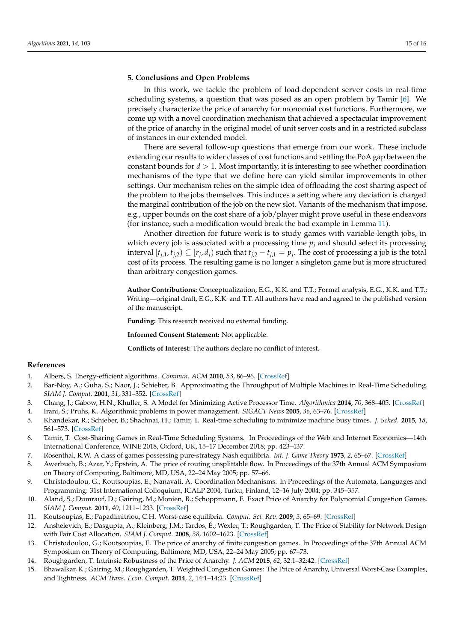## <span id="page-14-12"></span>**5. Conclusions and Open Problems**

In this work, we tackle the problem of load-dependent server costs in real-time scheduling systems, a question that was posed as an open problem by Tamir [\[6\]](#page-14-3). We precisely characterize the price of anarchy for monomial cost functions. Furthermore, we come up with a novel coordination mechanism that achieved a spectacular improvement of the price of anarchy in the original model of unit server costs and in a restricted subclass of instances in our extended model.

There are several follow-up questions that emerge from our work. These include extending our results to wider classes of cost functions and settling the PoA gap between the constant bounds for  $d > 1$ . Most importantly, it is interesting to see whether coordination mechanisms of the type that we define here can yield similar improvements in other settings. Our mechanism relies on the simple idea of offloading the cost sharing aspect of the problem to the jobs themselves. This induces a setting where any deviation is charged the marginal contribution of the job on the new slot. Variants of the mechanism that impose, e.g., upper bounds on the cost share of a job/player might prove useful in these endeavors (for instance, such a modification would break the bad example in Lemma [11\)](#page-11-1).

Another direction for future work is to study games with variable-length jobs, in which every job is associated with a processing time  $p_j$  and should select its processing interval  $[t_{j,1}, t_{j,2}) \subseteq [r_j, d_j)$  such that  $t_{j,2} - t_{j,1} = p_j$ . The cost of processing a job is the total cost of its process. The resulting game is no longer a singleton game but is more structured than arbitrary congestion games.

**Author Contributions:** Conceptualization, E.G., K.K. and T.T.; Formal analysis, E.G., K.K. and T.T.; Writing—original draft, E.G., K.K. and T.T. All authors have read and agreed to the published version of the manuscript.

**Funding:** This research received no external funding.

**Informed Consent Statement:** Not applicable.

**Conflicts of Interest:** The authors declare no conflict of interest.

### **References**

- <span id="page-14-0"></span>1. Albers, S. Energy-efficient algorithms. *Commun. ACM* **2010**, *53*, 86–96. [\[CrossRef\]](http://doi.org/10.1145/1735223.1735245)
- 2. Bar-Noy, A.; Guha, S.; Naor, J.; Schieber, B. Approximating the Throughput of Multiple Machines in Real-Time Scheduling. *SIAM J. Comput.* **2001**, *31*, 331–352. [\[CrossRef\]](http://dx.doi.org/10.1137/S0097539799354138)
- <span id="page-14-2"></span>3. Chang, J.; Gabow, H.N.; Khuller, S. A Model for Minimizing Active Processor Time. *Algorithmica* **2014**, *70*, 368–405. [\[CrossRef\]](http://dx.doi.org/10.1007/s00453-013-9807-y)
- 4. Irani, S.; Pruhs, K. Algorithmic problems in power management. *SIGACT News* **2005**, *36*, 63–76. [\[CrossRef\]](http://dx.doi.org/10.1145/1067309.1067324)
- <span id="page-14-1"></span>5. Khandekar, R.; Schieber, B.; Shachnai, H.; Tamir, T. Real-time scheduling to minimize machine busy times. *J. Sched.* **2015**, *18*, 561–573. [\[CrossRef\]](http://dx.doi.org/10.1007/s10951-014-0411-z)
- <span id="page-14-3"></span>6. Tamir, T. Cost-Sharing Games in Real-Time Scheduling Systems. In Proceedings of the Web and Internet Economics—14th International Conference, WINE 2018, Oxford, UK, 15–17 December 2018; pp. 423–437.
- <span id="page-14-4"></span>7. Rosenthal, R.W. A class of games possessing pure-strategy Nash equilibria. *Int. J. Game Theory* **1973**, *2*, 65–67. [\[CrossRef\]](http://dx.doi.org/10.1007/BF01737559)
- <span id="page-14-5"></span>8. Awerbuch, B.; Azar, Y.; Epstein, A. The price of routing unsplittable flow. In Proceedings of the 37th Annual ACM Symposium on Theory of Computing, Baltimore, MD, USA, 22–24 May 2005; pp. 57–66.
- <span id="page-14-6"></span>9. Christodoulou, G.; Koutsoupias, E.; Nanavati, A. Coordination Mechanisms. In Proceedings of the Automata, Languages and Programming: 31st International Colloquium, ICALP 2004, Turku, Finland, 12–16 July 2004; pp. 345–357.
- <span id="page-14-7"></span>10. Aland, S.; Dumrauf, D.; Gairing, M.; Monien, B.; Schoppmann, F. Exact Price of Anarchy for Polynomial Congestion Games. *SIAM J. Comput.* **2011**, *40*, 1211–1233. [\[CrossRef\]](http://dx.doi.org/10.1137/090748986)
- <span id="page-14-8"></span>11. Koutsoupias, E.; Papadimitriou, C.H. Worst-case equilibria. *Comput. Sci. Rev.* **2009**, *3*, 65–69. [\[CrossRef\]](http://dx.doi.org/10.1016/j.cosrev.2009.04.003)
- <span id="page-14-9"></span>12. Anshelevich, E.; Dasgupta, A.; Kleinberg, J.M.; Tardos, É.; Wexler, T.; Roughgarden, T. The Price of Stability for Network Design with Fair Cost Allocation. *SIAM J. Comput.* **2008**, *38*, 1602–1623. [\[CrossRef\]](http://dx.doi.org/10.1137/070680096)
- 13. Christodoulou, G.; Koutsoupias, E. The price of anarchy of finite congestion games. In Proceedings of the 37th Annual ACM Symposium on Theory of Computing, Baltimore, MD, USA, 22–24 May 2005; pp. 67–73.
- <span id="page-14-10"></span>14. Roughgarden, T. Intrinsic Robustness of the Price of Anarchy. *J. ACM* **2015**, *62*, 32:1–32:42. [\[CrossRef\]](http://dx.doi.org/10.1145/2806883)
- <span id="page-14-11"></span>15. Bhawalkar, K.; Gairing, M.; Roughgarden, T. Weighted Congestion Games: The Price of Anarchy, Universal Worst-Case Examples, and Tightness. *ACM Trans. Econ. Comput.* **2014**, *2*, 14:1–14:23. [\[CrossRef\]](http://dx.doi.org/10.1145/2629666)